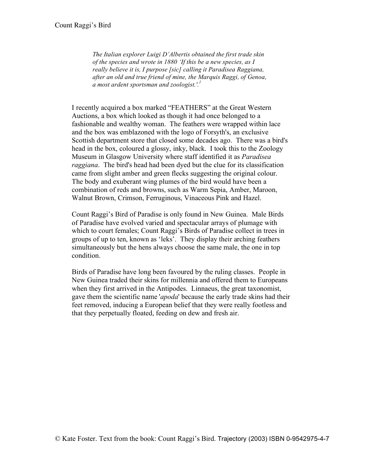*The Italian explorer Luigi D'Albertis obtained the first trade skin of the species and wrote in 1880 'If this be a new species, as I really believe it is, I purpose [sic] calling it Paradisea Raggiana, after an old and true friend of mine, the Marquis Raggi, of Genoa, a most ardent sportsman and zoologist.'. 1*

I recently acquired a box marked "FEATHERS" at the Great Western Auctions, a box which looked as though it had once belonged to a fashionable and wealthy woman. The feathers were wrapped within lace and the box was emblazoned with the logo of Forsyth's, an exclusive Scottish department store that closed some decades ago. There was a bird's head in the box, coloured a glossy, inky, black. I took this to the Zoology Museum in Glasgow University where staff identified it as *Paradisea raggiana*. The bird's head had been dyed but the clue for its classification came from slight amber and green flecks suggesting the original colour. The body and exuberant wing plumes of the bird would have been a combination of reds and browns, such as Warm Sepia, Amber, Maroon, Walnut Brown, Crimson, Ferruginous, Vinaceous Pink and Hazel.

Count Raggi's Bird of Paradise is only found in New Guinea. Male Birds of Paradise have evolved varied and spectacular arrays of plumage with which to court females; Count Raggi's Birds of Paradise collect in trees in groups of up to ten, known as 'leks'. They display their arching feathers simultaneously but the hens always choose the same male, the one in top condition.

Birds of Paradise have long been favoured by the ruling classes. People in New Guinea traded their skins for millennia and offered them to Europeans when they first arrived in the Antipodes. Linnaeus, the great taxonomist, gave them the scientific name '*apoda*' because the early trade skins had their feet removed, inducing a European belief that they were really footless and that they perpetually floated, feeding on dew and fresh air.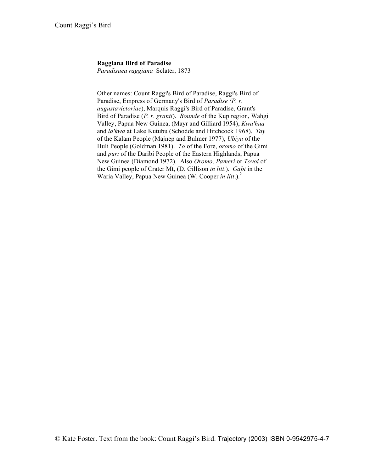## **Raggiana Bird of Paradise**

*Paradisaea raggiana* Sclater, 1873

Other names: Count Raggi's Bird of Paradise, Raggi's Bird of Paradise, Empress of Germany's Bird of *Paradise (P. r. augustavictoriae*), Marquis Raggi's Bird of Paradise, Grant's Bird of Paradise (*P. r. granti*). *Bounde* of the Kup region, Wahgi Valley, Papua New Guinea, (Mayr and Gilliard 1954), *Kwa'hua* and *la'kwa* at Lake Kutubu (Schodde and Hitchcock 1968). *Tay* of the Kalam People (Majnep and Bulmer 1977), *Ubiya* of the Huli People (Goldman 1981). *To* of the Fore, *oromo* of the Gimi and *puri* of the Daribi People of the Eastern Highlands, Papua New Guinea (Diamond 1972). Also *Oromo*, *Pameri* or *Tovoi* of the Gimi people of Crater Mt, (D. Gillison *in litt*.). *Gabi* in the Waria Valley, Papua New Guinea (W. Cooper *in litt*.).2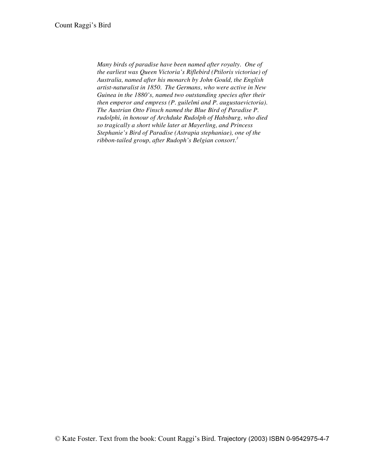*Many birds of paradise have been named after royalty. One of the earliest was Queen Victoria's Riflebird (Ptiloris victoriae) of Australia, named after his monarch by John Gould, the English artist-naturalist in 1850. The Germans, who were active in New Guinea in the 1880's, named two outstanding species after their then emperor and empress (P. guilelmi and P. augustaevictoria). The Austrian Otto Finsch named the Blue Bird of Paradise P. rudolphi, in honour of Archduke Rudolph of Habsburg, who died so tragically a short while later at Mayerling, and Princess Stephanie's Bird of Paradise (Astrapia stephaniae), one of the ribbon-tailed group, after Rudoph's Belgian consort. 3*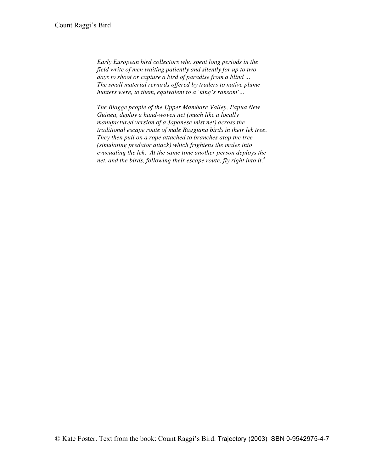*Early European bird collectors who spent long periods in the field write of men waiting patiently and silently for up to two days to shoot or capture a bird of paradise from a blind ... The small material rewards offered by traders to native plume hunters were, to them, equivalent to a 'king's ransom'...*

*The Biagge people of the Upper Mambare Valley, Papua New Guinea, deploy a hand-woven net (much like a locally manufactured version of a Japanese mist net) across the traditional escape route of male Raggiana birds in their lek tree. They then pull on a rope attached to branches atop the tree (simulating predator attack) which frightens the males into evacuating the lek. At the same time another person deploys the net, and the birds, following their escape route, fly right into it. 4*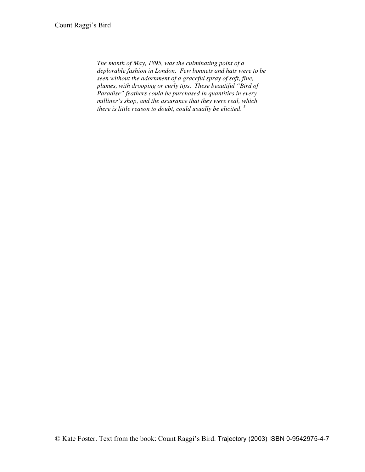*The month of May, 1895, was the culminating point of a deplorable fashion in London. Few bonnets and hats were to be seen without the adornment of a graceful spray of soft, fine, plumes, with drooping or curly tips. These beautiful "Bird of Paradise" feathers could be purchased in quantities in every milliner's shop, and the assurance that they were real, which there is little reason to doubt, could usually be elicited. <sup>5</sup>*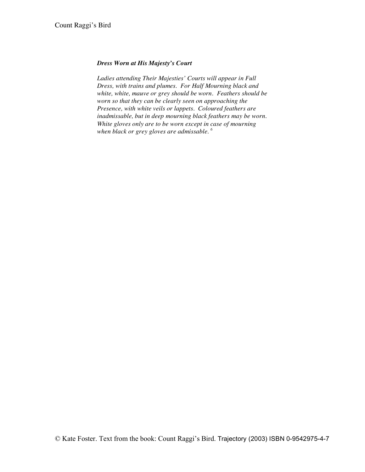## *Dress Worn at His Majesty's Court*

*Ladies attending Their Majesties' Courts will appear in Full Dress, with trains and plumes. For Half Mourning black and white, white, mauve or grey should be worn. Feathers should be worn so that they can be clearly seen on approaching the Presence, with white veils or lappets. Coloured feathers are inadmissable, but in deep mourning black feathers may be worn. White gloves only are to be worn except in case of mourning when black or grey gloves are admissable. <sup>6</sup>*